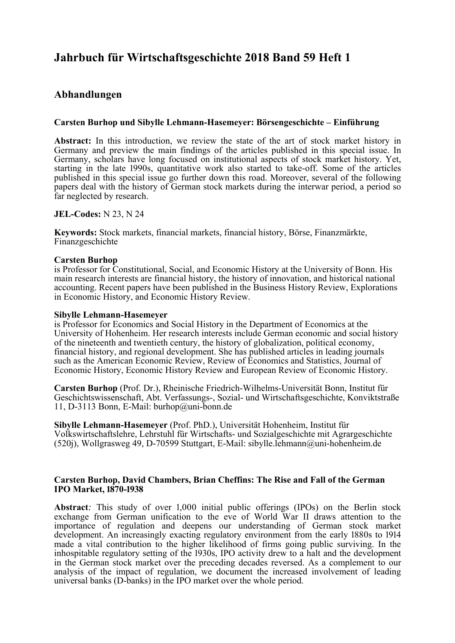# **Jahrbuch für Wirtschaftsgeschichte 2018 Band 59 Heft 1**

## **Abhandlungen**

## **Carsten Burhop und Sibylle Lehmann-Hasemeyer: Börsengeschichte – Einführung**

**Abstract:** In this introduction, we review the state of the art of stock market history in Germany and preview the main findings of the articles published in this special issue. In Germany, scholars have long focused on institutional aspects of stock market history. Yet, starting in the late 1990s, quantitative work also started to take-off. Some of the articles published in this special issue go further down this road. Moreover, several of the following papers deal with the history of German stock markets during the interwar period, a period so far neglected by research.

## **JEL-Codes:** N 23, N 24

**Keywords:** Stock markets, financial markets, financial history, Börse, Finanzmärkte, Finanzgeschichte

## **Carsten Burhop**

is Professor for Constitutional, Social, and Economic History at the University of Bonn. His main research interests are financial history, the history of innovation, and historical national accounting. Recent papers have been published in the Business History Review, Explorations in Economic History, and Economic History Review.

#### **Sibylle Lehmann-Hasemeyer**

is Professor for Economics and Social History in the Department of Economics at the University of Hohenheim. Her research interests include German economic and social history of the nineteenth and twentieth century, the history of globalization, political economy, financial history, and regional development. She has published articles in leading journals such as the American Economic Review, Review of Economics and Statistics, Journal of Economic History, Economic History Review and European Review of Economic History.

**Carsten Burhop** (Prof. Dr.), Rheinische Friedrich-Wilhelms-Universität Bonn, Institut für Geschichtswissenschaft, Abt. Verfassungs-, Sozial- und Wirtschaftsgeschichte, Konviktstraße 11, D-3113 Bonn, E-Mail: burhop@uni-bonn.de

**Sibylle Lehmann-Hasemeyer** (Prof. PhD.), Universität Hohenheim, Institut für Volkswirtschaftslehre, Lehrstuhl für Wirtschafts- und Sozialgeschichte mit Agrargeschichte (520j), Wollgrasweg 49, D-70599 Stuttgart, E-Mail: sibylle.lehmann@uni-hohenheim.de

#### **Carsten Burhop, David Chambers, Brian Cheffins: The Rise and Fall of the German IPO Market, 1870-1938**

**Abstract**: This study of over 1,000 initial public offerings (IPOs) on the Berlin stock exchange from German unification to the eve of World War II draws attention to the importance of regulation and deepens our understanding of German stock market development. An increasingly exacting regulatory environment from the early 1880s to 1914 made a vital contribution to the higher likelihood of firms going public surviving. In the inhospitable regulatory setting of the 1930s, IPO activity drew to a halt and the development in the German stock market over the preceding decades reversed. As a complement to our analysis of the impact of regulation, we document the increased involvement of leading universal banks (D-banks) in the IPO market over the whole period.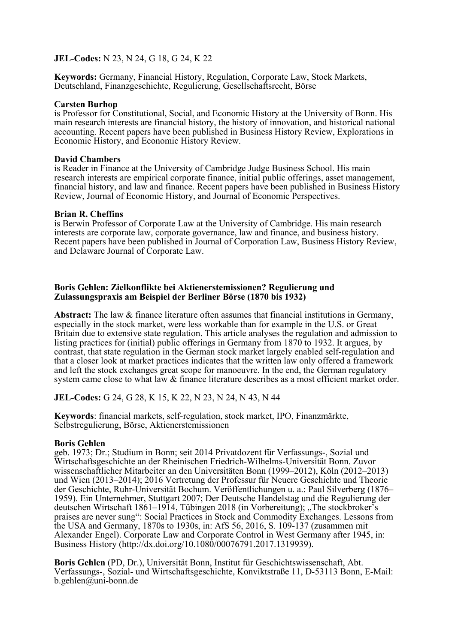**JEL-Codes:** N 23, N 24, G 18, G 24, K 22

**Keywords:** Germany, Financial History, Regulation, Corporate Law, Stock Markets, Deutschland, Finanzgeschichte, Regulierung, Gesellschaftsrecht, Börse

#### **Carsten Burhop**

is Professor for Constitutional, Social, and Economic History at the University of Bonn. His main research interests are financial history, the history of innovation, and historical national accounting. Recent papers have been published in Business History Review, Explorations in Economic History, and Economic History Review.

#### **David Chambers**

is Reader in Finance at the University of Cambridge Judge Business School. His main research interests are empirical corporate finance, initial public offerings, asset management, financial history, and law and finance. Recent papers have been published in Business History Review, Journal of Economic History, and Journal of Economic Perspectives.

#### **Brian R. Cheffins**

is Berwin Professor of Corporate Law at the University of Cambridge. His main research interests are corporate law, corporate governance, law and finance, and business history. Recent papers have been published in Journal of Corporation Law, Business History Review, and Delaware Journal of Corporate Law.

## **Boris Gehlen: Zielkonflikte bei Aktienerstemissionen? Regulierung und Zulassungspraxis am Beispiel der Berliner Börse (1870 bis 1932)**

**Abstract:** The law & finance literature often assumes that financial institutions in Germany, especially in the stock market, were less workable than for example in the U.S. or Great Britain due to extensive state regulation. This article analyses the regulation and admission to listing practices for (initial) public offerings in Germany from 1870 to 1932. It argues, by contrast, that state regulation in the German stock market largely enabled self-regulation and that a closer look at market practices indicates that the written law only offered a framework and left the stock exchanges great scope for manoeuvre. In the end, the German regulatory system came close to what law  $&$  finance literature describes as a most efficient market order.

**JEL-Codes:** G 24, G 28, K 15, K 22, N 23, N 24, N 43, N 44

**Keywords**: financial markets, self-regulation, stock market, IPO, Finanzmärkte, Selbstregulierung, Börse, Aktienerstemissionen

## **Boris Gehlen**

geb. 1973; Dr.; Studium in Bonn; seit 2014 Privatdozent für Verfassungs-, Sozial und Wirtschaftsgeschichte an der Rheinischen Friedrich-Wilhelms-Universität Bonn. Zuvor wissenschaftlicher Mitarbeiter an den Universitäten Bonn (1999–2012), Köln (2012–2013) und Wien (2013–2014); 2016 Vertretung der Professur für Neuere Geschichte und Theorie der Geschichte, Ruhr-Universität Bochum. Veröffentlichungen u. a.: Paul Silverberg (1876– 1959). Ein Unternehmer, Stuttgart 2007; Der Deutsche Handelstag und die Regulierung der deutschen Wirtschaft 1861–1914, Tübingen 2018 (in Vorbereitung); "The stockbroker's praises are never sung": Social Practices in Stock and Commodity Exchanges. Lessons from the USA and Germany, 1870s to 1930s, in: AfS 56, 2016, S. 109-137 (zusammen mit Alexander Engel). Corporate Law and Corporate Control in West Germany after 1945, in: Business History (http://dx.doi.org/10.1080/00076791.2017.1319939).

**Boris Gehlen** (PD, Dr.), Universität Bonn, Institut für Geschichtswissenschaft, Abt. Verfassungs-, Sozial- und Wirtschaftsgeschichte, Konviktstraße 11, D-53113 Bonn, E-Mail: b.gehlen@uni-bonn.de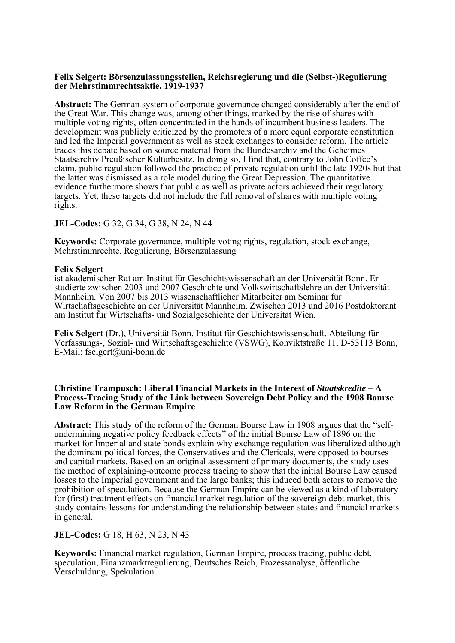#### **Felix Selgert: Börsenzulassungsstellen, Reichsregierung und die (Selbst-)Regulierung der Mehrstimmrechtsaktie, 1919-1937**

**Abstract:** The German system of corporate governance changed considerably after the end of the Great War. This change was, among other things, marked by the rise of shares with multiple voting rights, often concentrated in the hands of incumbent business leaders. The development was publicly criticized by the promoters of a more equal corporate constitution and led the Imperial government as well as stock exchanges to consider reform. The article traces this debate based on source material from the Bundesarchiv and the Geheimes Staatsarchiv Preußischer Kulturbesitz. In doing so, I find that, contrary to John Coffee's claim, public regulation followed the practice of private regulation until the late 1920s but that the latter was dismissed as a role model during the Great Depression. The quantitative evidence furthermore shows that public as well as private actors achieved their regulatory targets. Yet, these targets did not include the full removal of shares with multiple voting rights.

#### **JEL-Codes:** G 32, G 34, G 38, N 24, N 44

**Keywords:** Corporate governance, multiple voting rights, regulation, stock exchange, Mehrstimmrechte, Regulierung, Börsenzulassung

#### **Felix Selgert**

ist akademischer Rat am Institut für Geschichtswissenschaft an der Universität Bonn. Er studierte zwischen 2003 und 2007 Geschichte und Volkswirtschaftslehre an der Universität Mannheim. Von 2007 bis 2013 wissenschaftlicher Mitarbeiter am Seminar für Wirtschaftsgeschichte an der Universität Mannheim. Zwischen 2013 und 2016 Postdoktorant am Institut für Wirtschafts- und Sozialgeschichte der Universität Wien.

**Felix Selgert** (Dr.), Universität Bonn, Institut für Geschichtswissenschaft, Abteilung für Verfassungs-, Sozial- und Wirtschaftsgeschichte (VSWG), Konviktstraße 11, D-53113 Bonn, E-Mail: fselgert@uni-bonn.de

#### **Christine Trampusch: Liberal Financial Markets in the Interest of** *Staatskredite* **– A Process-Tracing Study of the Link between Sovereign Debt Policy and the 1908 Bourse Law Reform in the German Empire**

**Abstract:** This study of the reform of the German Bourse Law in 1908 argues that the "selfundermining negative policy feedback effects" of the initial Bourse Law of 1896 on the market for Imperial and state bonds explain why exchange regulation was liberalized although the dominant political forces, the Conservatives and the Clericals, were opposed to bourses and capital markets. Based on an original assessment of primary documents, the study uses the method of explaining-outcome process tracing to show that the initial Bourse Law caused losses to the Imperial government and the large banks; this induced both actors to remove the prohibition of speculation. Because the German Empire can be viewed as a kind of laboratory for (first) treatment effects on financial market regulation of the sovereign debt market, this study contains lessons for understanding the relationship between states and financial markets in general.

#### **JEL-Codes:** G 18, H 63, N 23, N 43

**Keywords:** Financial market regulation, German Empire, process tracing, public debt, speculation, Finanzmarktregulierung, Deutsches Reich, Prozessanalyse, öffentliche Verschuldung, Spekulation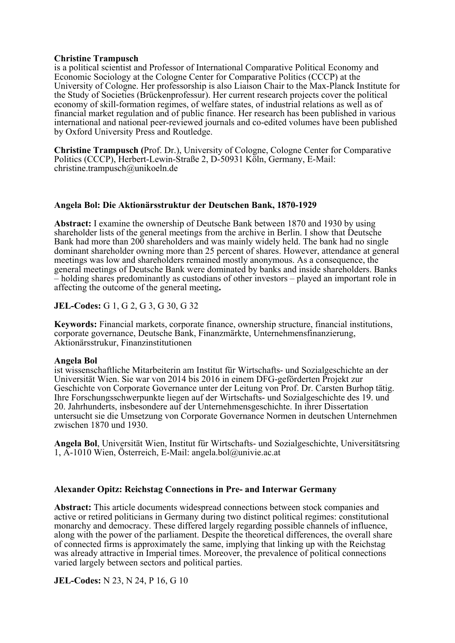#### **Christine Trampusch**

is a political scientist and Professor of International Comparative Political Economy and Economic Sociology at the Cologne Center for Comparative Politics (CCCP) at the University of Cologne. Her professorship is also Liaison Chair to the Max-Planck Institute for the Study of Societies (Brückenprofessur). Her current research projects cover the political economy of skill-formation regimes, of welfare states, of industrial relations as well as of financial market regulation and of public finance. Her research has been published in various international and national peer-reviewed journals and co-edited volumes have been published by Oxford University Press and Routledge.

**Christine Trampusch (**Prof. Dr.), University of Cologne, Cologne Center for Comparative Politics (CCCP), Herbert-Lewin-Straße 2, D-50931 Köln, Germany, E-Mail: christine.trampusch@unikoeln.de

#### **Angela Bol: Die Aktionärsstruktur der Deutschen Bank, 1870-1929**

**Abstract:** I examine the ownership of Deutsche Bank between 1870 and 1930 by using shareholder lists of the general meetings from the archive in Berlin. I show that Deutsche Bank had more than 200 shareholders and was mainly widely held. The bank had no single dominant shareholder owning more than 25 percent of shares. However, attendance at general meetings was low and shareholders remained mostly anonymous. As a consequence, the general meetings of Deutsche Bank were dominated by banks and inside shareholders. Banks – holding shares predominantly as custodians of other investors – played an important role in affecting the outcome of the general meeting**.** 

**JEL-Codes:** G 1, G 2, G 3, G 30, G 32

**Keywords:** Financial markets, corporate finance, ownership structure, financial institutions, corporate governance, Deutsche Bank, Finanzmärkte, Unternehmensfinanzierung, Aktionärsstrukur, Finanzinstitutionen

#### **Angela Bol**

ist wissenschaftliche Mitarbeiterin am Institut für Wirtschafts- und Sozialgeschichte an der Universität Wien. Sie war von 2014 bis 2016 in einem DFG-geförderten Projekt zur Geschichte von Corporate Governance unter der Leitung von Prof. Dr. Carsten Burhop tätig. Ihre Forschungsschwerpunkte liegen auf der Wirtschafts- und Sozialgeschichte des 19. und 20. Jahrhunderts, insbesondere auf der Unternehmensgeschichte. In ihrer Dissertation untersucht sie die Umsetzung von Corporate Governance Normen in deutschen Unternehmen zwischen 1870 und 1930.

**Angela Bol**, Universität Wien, Institut für Wirtschafts- und Sozialgeschichte, Universitätsring 1, A-1010 Wien, Österreich, E-Mail: angela.bol@univie.ac.at

#### **Alexander Opitz: Reichstag Connections in Pre- and Interwar Germany**

**Abstract:** This article documents widespread connections between stock companies and active or retired politicians in Germany during two distinct political regimes: constitutional monarchy and democracy. These differed largely regarding possible channels of influence, along with the power of the parliament. Despite the theoretical differences, the overall share of connected firms is approximately the same, implying that linking up with the Reichstag was already attractive in Imperial times. Moreover, the prevalence of political connections varied largely between sectors and political parties.

**JEL-Codes:** N 23, N 24, P 16, G 10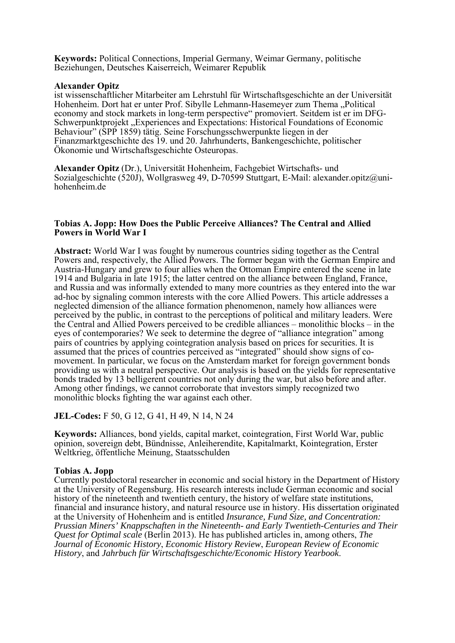**Keywords:** Political Connections, Imperial Germany, Weimar Germany, politische Beziehungen, Deutsches Kaiserreich, Weimarer Republik

#### **Alexander Opitz**

ist wissenschaftlicher Mitarbeiter am Lehrstuhl für Wirtschaftsgeschichte an der Universität Hohenheim. Dort hat er unter Prof. Sibylle Lehmann-Hasemeyer zum Thema "Political economy and stock markets in long-term perspective" promoviert. Seitdem ist er im DFG-Schwerpunktprojekt "Experiences and Expectations: Historical Foundations of Economic Behaviour" (SPP 1859) tätig. Seine Forschungsschwerpunkte liegen in der Finanzmarktgeschichte des 19. und 20. Jahrhunderts, Bankengeschichte, politischer Ökonomie und Wirtschaftsgeschichte Osteuropas.

**Alexander Opitz** (Dr.), Universität Hohenheim, Fachgebiet Wirtschafts- und Sozialgeschichte (520J), Wollgrasweg 49, D-70599 Stuttgart, E-Mail: alexander.opitz@unihohenheim.de

## **Tobias A. Jopp: How Does the Public Perceive Alliances? The Central and Allied Powers in World War I**

**Abstract:** World War I was fought by numerous countries siding together as the Central Powers and, respectively, the Allied Powers. The former began with the German Empire and Austria-Hungary and grew to four allies when the Ottoman Empire entered the scene in late 1914 and Bulgaria in late 1915; the latter centred on the alliance between England, France, and Russia and was informally extended to many more countries as they entered into the war ad-hoc by signaling common interests with the core Allied Powers. This article addresses a neglected dimension of the alliance formation phenomenon, namely how alliances were perceived by the public, in contrast to the perceptions of political and military leaders. Were the Central and Allied Powers perceived to be credible alliances – monolithic blocks – in the eyes of contemporaries? We seek to determine the degree of "alliance integration" among pairs of countries by applying cointegration analysis based on prices for securities. It is assumed that the prices of countries perceived as "integrated" should show signs of comovement. In particular, we focus on the Amsterdam market for foreign government bonds providing us with a neutral perspective. Our analysis is based on the yields for representative bonds traded by 13 belligerent countries not only during the war, but also before and after. Among other findings, we cannot corroborate that investors simply recognized two monolithic blocks fighting the war against each other.

## **JEL-Codes:** F 50, G 12, G 41, H 49, N 14, N 24

**Keywords:** Alliances, bond yields, capital market, cointegration, First World War, public opinion, sovereign debt, Bündnisse, Anleiherendite, Kapitalmarkt, Kointegration, Erster Weltkrieg, öffentliche Meinung, Staatsschulden

#### **Tobias A. Jopp**

Currently postdoctoral researcher in economic and social history in the Department of History at the University of Regensburg. His research interests include German economic and social history of the nineteenth and twentieth century, the history of welfare state institutions, financial and insurance history, and natural resource use in history. His dissertation originated at the University of Hohenheim and is entitled *Insurance, Fund Size, and Concentration: Prussian Miners' Knappschaften in the Nineteenth- and Early Twentieth-Centuries and Their Quest for Optimal scale* (Berlin 2013). He has published articles in, among others, *The Journal of Economic History*, *Economic History Review*, *European Review of Economic History*, and *Jahrbuch für Wirtschaftsgeschichte/Economic History Yearbook*.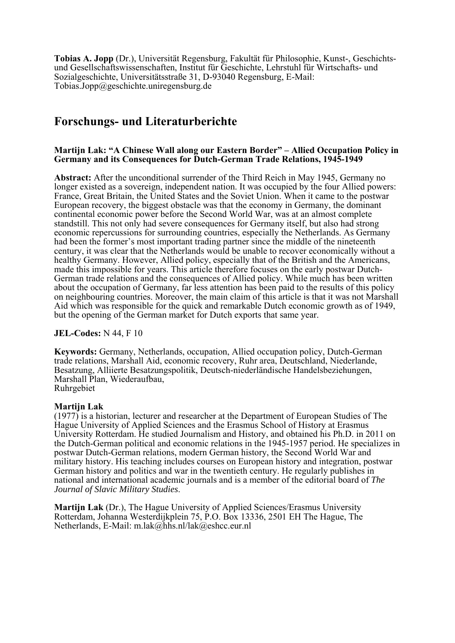**Tobias A. Jopp** (Dr.), Universität Regensburg, Fakultät für Philosophie, Kunst-, Geschichtsund Gesellschaftswissenschaften, Institut für Geschichte, Lehrstuhl für Wirtschafts- und Sozialgeschichte, Universitätsstraße 31, D-93040 Regensburg, E-Mail: Tobias.Jopp@geschichte.uniregensburg.de

# **Forschungs- und Literaturberichte**

## **Martijn Lak: "A Chinese Wall along our Eastern Border" – Allied Occupation Policy in Germany and its Consequences for Dutch-German Trade Relations, 1945-1949**

**Abstract:** After the unconditional surrender of the Third Reich in May 1945, Germany no longer existed as a sovereign, independent nation. It was occupied by the four Allied powers: France, Great Britain, the United States and the Soviet Union. When it came to the postwar European recovery, the biggest obstacle was that the economy in Germany, the dominant continental economic power before the Second World War, was at an almost complete standstill. This not only had severe consequences for Germany itself, but also had strong economic repercussions for surrounding countries, especially the Netherlands. As Germany had been the former's most important trading partner since the middle of the nineteenth century, it was clear that the Netherlands would be unable to recover economically without a healthy Germany. However, Allied policy, especially that of the British and the Americans, made this impossible for years. This article therefore focuses on the early postwar Dutch-German trade relations and the consequences of Allied policy. While much has been written about the occupation of Germany, far less attention has been paid to the results of this policy on neighbouring countries. Moreover, the main claim of this article is that it was not Marshall Aid which was responsible for the quick and remarkable Dutch economic growth as of 1949, but the opening of the German market for Dutch exports that same year.

**JEL-Codes:** N 44, F 10

**Keywords:** Germany, Netherlands, occupation, Allied occupation policy, Dutch-German trade relations, Marshall Aid, economic recovery, Ruhr area, Deutschland, Niederlande, Besatzung, Alliierte Besatzungspolitik, Deutsch-niederländische Handelsbeziehungen, Marshall Plan, Wiederaufbau, Ruhrgebiet

## **Martijn Lak**

(1977) is a historian, lecturer and researcher at the Department of European Studies of The Hague University of Applied Sciences and the Erasmus School of History at Erasmus University Rotterdam. He studied Journalism and History, and obtained his Ph.D. in 2011 on the Dutch-German political and economic relations in the 1945-1957 period. He specializes in postwar Dutch-German relations, modern German history, the Second World War and military history. His teaching includes courses on European history and integration, postwar German history and politics and war in the twentieth century. He regularly publishes in national and international academic journals and is a member of the editorial board of *The Journal of Slavic Military Studies*.

**Martijn Lak** (Dr.), The Hague University of Applied Sciences/Erasmus University Rotterdam, Johanna Westerdijkplein 75, P.O. Box 13336, 2501 EH The Hague, The Netherlands, E-Mail: m.lak@hhs.nl/lak@eshcc.eur.nl